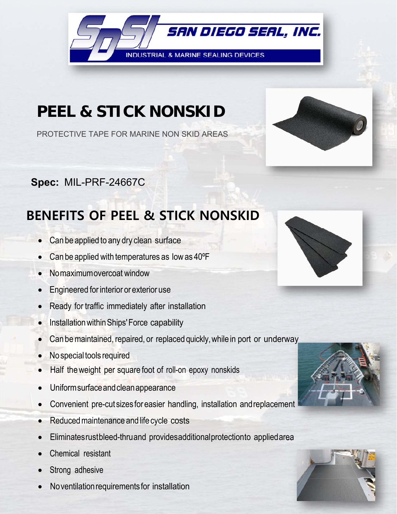

## **PEEL & STICK NONSKID**

PROTECTIVE TAPE FOR MARINE NON SKID AREAS

**Spec:** MIL-PRF-24667C

## **BENEFITS OF PEEL & STICK NONSKID**

- Can be applied to any dry clean surface
- Can be applied with temperatures as low as 40ºF
- No maximum overcoat window
- **Engineered for interior or exterior use**
- Ready for traffic immediately after installation
- Installation within Ships' Force capability
- Can be maintained, repaired, or replaced quickly, while in port or underway
- No special tools required
- Half the weight per square foot of roll-on epoxy nonskids
- Uniform surface and clean appearance
- Convenient pre-cut sizes for easier handling, installation and replacement
- Reduced maintenance and life cycle costs
- Eliminates rust bleed-thru and provides additional protection to applied area
- Chemical resistant
- Strong adhesive
- No ventilation requirements for installation